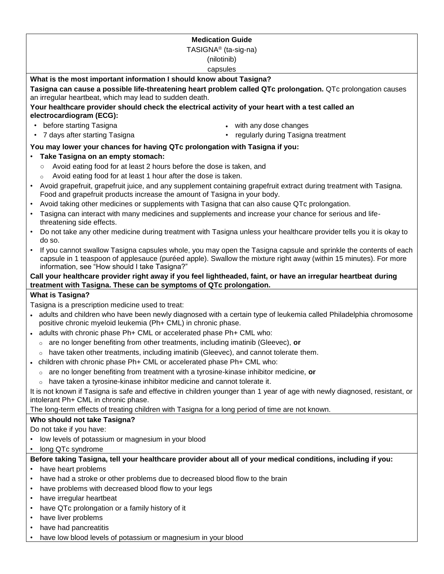| <b>Medication Guide</b>                                                                                                                                                                                       |                                                                                                                  |
|---------------------------------------------------------------------------------------------------------------------------------------------------------------------------------------------------------------|------------------------------------------------------------------------------------------------------------------|
| TASIGNA <sup>®</sup> (ta-sig-na)                                                                                                                                                                              |                                                                                                                  |
| (nilotinib)                                                                                                                                                                                                   |                                                                                                                  |
| capsules                                                                                                                                                                                                      |                                                                                                                  |
| What is the most important information I should know about Tasigna?                                                                                                                                           |                                                                                                                  |
| Tasigna can cause a possible life-threatening heart problem called QTc prolongation. QTc prolongation causes                                                                                                  |                                                                                                                  |
| an irregular heartbeat, which may lead to sudden death.                                                                                                                                                       |                                                                                                                  |
| Your healthcare provider should check the electrical activity of your heart with a test called an                                                                                                             |                                                                                                                  |
| electrocardiogram (ECG):                                                                                                                                                                                      |                                                                                                                  |
| before starting Tasigna<br>$\bullet$                                                                                                                                                                          | with any dose changes                                                                                            |
| 7 days after starting Tasigna<br>$\bullet$                                                                                                                                                                    | regularly during Tasigna treatment                                                                               |
| You may lower your chances for having QTc prolongation with Tasigna if you:                                                                                                                                   |                                                                                                                  |
| Take Tasigna on an empty stomach:                                                                                                                                                                             |                                                                                                                  |
| Avoid eating food for at least 2 hours before the dose is taken, and<br>$\circ$                                                                                                                               |                                                                                                                  |
| Avoid eating food for at least 1 hour after the dose is taken.<br>$\circ$                                                                                                                                     |                                                                                                                  |
| Avoid grapefruit, grapefruit juice, and any supplement containing grapefruit extract during treatment with Tasigna.<br>$\bullet$<br>Food and grapefruit products increase the amount of Tasigna in your body. |                                                                                                                  |
| Avoid taking other medicines or supplements with Tasigna that can also cause QTc prolongation.<br>$\bullet$                                                                                                   |                                                                                                                  |
| Tasigna can interact with many medicines and supplements and increase your chance for serious and life-<br>threatening side effects.                                                                          |                                                                                                                  |
| Do not take any other medicine during treatment with Tasigna unless your healthcare provider tells you it is okay to                                                                                          |                                                                                                                  |
| do so.                                                                                                                                                                                                        |                                                                                                                  |
|                                                                                                                                                                                                               | If you cannot swallow Tasigna capsules whole, you may open the Tasigna capsule and sprinkle the contents of each |
| capsule in 1 teaspoon of applesauce (puréed apple). Swallow the mixture right away (within 15 minutes). For more<br>information, see "How should I take Tasigna?"                                             |                                                                                                                  |
| Call your healthcare provider right away if you feel lightheaded, faint, or have an irregular heartbeat during                                                                                                |                                                                                                                  |
| treatment with Tasigna. These can be symptoms of QTc prolongation.                                                                                                                                            |                                                                                                                  |
| <b>What is Tasigna?</b>                                                                                                                                                                                       |                                                                                                                  |
| Tasigna is a prescription medicine used to treat:                                                                                                                                                             |                                                                                                                  |
| • adults and children who have been newly diagnosed with a certain type of leukemia called Philadelphia chromosome                                                                                            |                                                                                                                  |
| positive chronic myeloid leukemia (Ph+ CML) in chronic phase.                                                                                                                                                 |                                                                                                                  |
| - adults with chronic phase Ph+ CML or accelerated phase Ph+ CML who:                                                                                                                                         |                                                                                                                  |
| are no longer benefiting from other treatments, including imatinib (Gleevec), or<br>$\circ$                                                                                                                   |                                                                                                                  |
| have taken other treatments, including imatinib (Gleevec), and cannot tolerate them.                                                                                                                          |                                                                                                                  |
| • children with chronic phase Ph+ CML or accelerated phase Ph+ CML who:                                                                                                                                       |                                                                                                                  |
| are no longer benefiting from treatment with a tyrosine-kinase inhibitor medicine, or                                                                                                                         |                                                                                                                  |
| have taken a tyrosine-kinase inhibitor medicine and cannot tolerate it.                                                                                                                                       |                                                                                                                  |
| It is not known if Tasigna is safe and effective in children younger than 1 year of age with newly diagnosed, resistant, or                                                                                   |                                                                                                                  |
| intolerant Ph+ CML in chronic phase.                                                                                                                                                                          |                                                                                                                  |
| The long-term effects of treating children with Tasigna for a long period of time are not known.                                                                                                              |                                                                                                                  |
| Who should not take Tasigna?                                                                                                                                                                                  |                                                                                                                  |
| Do not take if you have:<br>low levels of potassium or magnesium in your blood                                                                                                                                |                                                                                                                  |
| long QTc syndrome                                                                                                                                                                                             |                                                                                                                  |
|                                                                                                                                                                                                               |                                                                                                                  |
| Before taking Tasigna, tell your healthcare provider about all of your medical conditions, including if you:<br>have heart problems                                                                           |                                                                                                                  |
| have had a stroke or other problems due to decreased blood flow to the brain                                                                                                                                  |                                                                                                                  |
| have problems with decreased blood flow to your legs                                                                                                                                                          |                                                                                                                  |
| have irregular heartbeat                                                                                                                                                                                      |                                                                                                                  |
| have QTc prolongation or a family history of it                                                                                                                                                               |                                                                                                                  |
| have liver problems                                                                                                                                                                                           |                                                                                                                  |
| have had pancreatitis                                                                                                                                                                                         |                                                                                                                  |

• have low blood levels of potassium or magnesium in your blood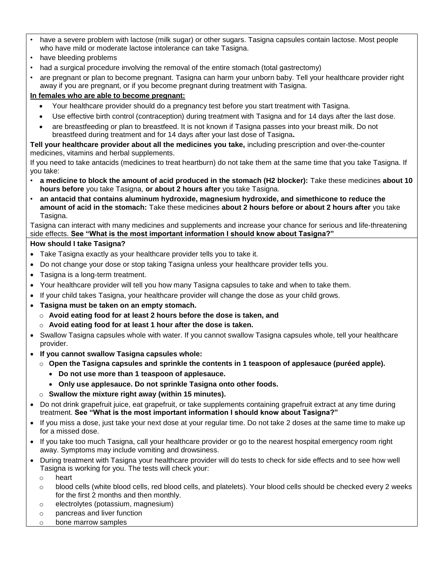- have a severe problem with lactose (milk sugar) or other sugars. Tasigna capsules contain lactose. Most people who have mild or moderate lactose intolerance can take Tasigna.
- have bleeding problems
- had a surgical procedure involving the removal of the entire stomach (total gastrectomy)
- are pregnant or plan to become pregnant. Tasigna can harm your unborn baby. Tell your healthcare provider right away if you are pregnant, or if you become pregnant during treatment with Tasigna.

# **In females who are able to become pregnant:**

- Your healthcare provider should do a pregnancy test before you start treatment with Tasigna.
- Use effective birth control (contraception) during treatment with Tasigna and for 14 days after the last dose.
- are breastfeeding or plan to breastfeed. It is not known if Tasigna passes into your breast milk. Do not breastfeed during treatment and for 14 days after your last dose of Tasigna**.**

**Tell your healthcare provider about all the medicines you take,** including prescription and over-the-counter medicines, vitamins and herbal supplements.

If you need to take antacids (medicines to treat heartburn) do not take them at the same time that you take Tasigna. If you take:

- **a medicine to block the amount of acid produced in the stomach (H2 blocker):** Take these medicines **about 10 hours before** you take Tasigna, **or about 2 hours after** you take Tasigna.
- **an antacid that contains aluminum hydroxide, magnesium hydroxide, and simethicone to reduce the amount of acid in the stomach:** Take these medicines **about 2 hours before or about 2 hours after** you take Tasigna.

Tasigna can interact with many medicines and supplements and increase your chance for serious and life-threatening side effects. **See "What is the most important information I should know about Tasigna?"**

### **How should I take Tasigna?**

- Take Tasigna exactly as your healthcare provider tells you to take it.
- Do not change your dose or stop taking Tasigna unless your healthcare provider tells you.
- Tasigna is a long-term treatment.
- Your healthcare provider will tell you how many Tasigna capsules to take and when to take them.
- If your child takes Tasigna, your healthcare provider will change the dose as your child grows.
- **Tasigna must be taken on an empty stomach.**
	- o **Avoid eating food for at least 2 hours before the dose is taken, and**
	- o **Avoid eating food for at least 1 hour after the dose is taken.**
- Swallow Tasigna capsules whole with water. If you cannot swallow Tasigna capsules whole, tell your healthcare provider.
- **If you cannot swallow Tasigna capsules whole:**
	- o **Open the Tasigna capsules and sprinkle the contents in 1 teaspoon of applesauce (puréed apple).**
		- **Do not use more than 1 teaspoon of applesauce.**
		- **Only use applesauce. Do not sprinkle Tasigna onto other foods.**
	- o **Swallow the mixture right away (within 15 minutes).**
- Do not drink grapefruit juice, eat grapefruit, or take supplements containing grapefruit extract at any time during treatment. **See "What is the most important information I should know about Tasigna?"**
- If you miss a dose, just take your next dose at your regular time. Do not take 2 doses at the same time to make up for a missed dose.
- If you take too much Tasigna, call your healthcare provider or go to the nearest hospital emergency room right away. Symptoms may include vomiting and drowsiness.
- During treatment with Tasigna your healthcare provider will do tests to check for side effects and to see how well Tasigna is working for you. The tests will check your:
	- o heart
	- o blood cells (white blood cells, red blood cells, and platelets). Your blood cells should be checked every 2 weeks for the first 2 months and then monthly.
	- o electrolytes (potassium, magnesium)
	- o pancreas and liver function
	- o bone marrow samples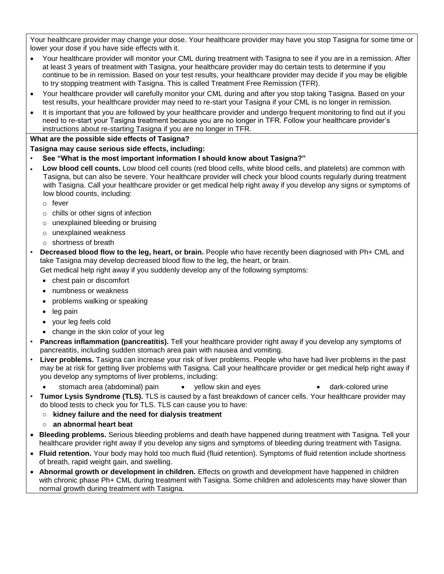Your healthcare provider may change your dose. Your healthcare provider may have you stop Tasigna for some time or lower your dose if you have side effects with it.

- Your healthcare provider will monitor your CML during treatment with Tasigna to see if you are in a remission. After at least 3 years of treatment with Tasigna, your healthcare provider may do certain tests to determine if you continue to be in remission. Based on your test results, your healthcare provider may decide if you may be eligible to try stopping treatment with Tasigna. This is called Treatment Free Remission (TFR).
- Your healthcare provider will carefully monitor your CML during and after you stop taking Tasigna. Based on your test results, your healthcare provider may need to re-start your Tasigna if your CML is no longer in remission.
- It is important that you are followed by your healthcare provider and undergo frequent monitoring to find out if you need to re-start your Tasigna treatment because you are no longer in TFR. Follow your healthcare provider's instructions about re-starting Tasigna if you are no longer in TFR.

### **What are the possible side effects of Tasigna?**

### **Tasigna may cause serious side effects, including:**

- **See "What is the most important information I should know about Tasigna?"**
- **Low blood cell counts.** Low blood cell counts (red blood cells, white blood cells, and platelets) are common with Tasigna, but can also be severe. Your healthcare provider will check your blood counts regularly during treatment with Tasigna. Call your healthcare provider or get medical help right away if you develop any signs or symptoms of low blood counts, including:
	- o fever
	- o chills or other signs of infection
	- o unexplained bleeding or bruising
	- o unexplained weakness
	- o shortness of breath
- **Decreased blood flow to the leg, heart, or brain.** People who have recently been diagnosed with Ph+ CML and take Tasigna may develop decreased blood flow to the leg, the heart, or brain.

Get medical help right away if you suddenly develop any of the following symptoms:

- chest pain or discomfort
- numbness or weakness
- problems walking or speaking
- leg pain
- your leg feels cold
- change in the skin color of your leg
- **Pancreas inflammation (pancreatitis).** Tell your healthcare provider right away if you develop any symptoms of pancreatitis, including sudden stomach area pain with nausea and vomiting.
- **Liver problems.** Tasigna can increase your risk of liver problems. People who have had liver problems in the past may be at risk for getting liver problems with Tasigna. Call your healthcare provider or get medical help right away if you develop any symptoms of liver problems, including:
	- stomach area (abdominal) pain yellow skin and eyes dark-colored urine
- **Tumor Lysis Syndrome (TLS).** TLS is caused by a fast breakdown of cancer cells. Your healthcare provider may do blood tests to check you for TLS. TLS can cause you to have:
	- **kidney failure and the need for dialysis treatment**
	- **○ an abnormal heart beat**
- **Bleeding problems.** Serious bleeding problems and death have happened during treatment with Tasigna. Tell your healthcare provider right away if you develop any signs and symptoms of bleeding during treatment with Tasigna.
- **Fluid retention.** Your body may hold too much fluid (fluid retention). Symptoms of fluid retention include shortness of breath, rapid weight gain, and swelling.
- **Abnormal growth or development in children.** Effects on growth and development have happened in children with chronic phase Ph+ CML during treatment with Tasigna. Some children and adolescents may have slower than normal growth during treatment with Tasigna.